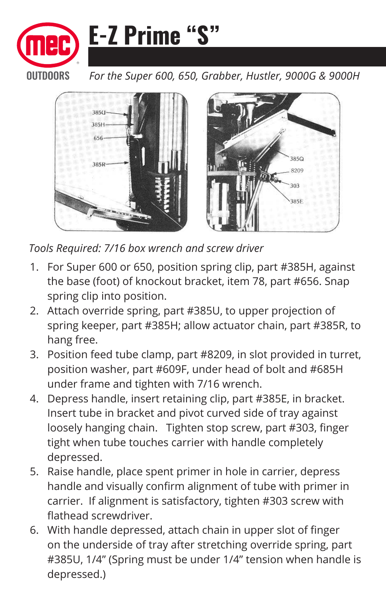

*For the Super 600, 650, Grabber, Hustler, 9000G & 9000H*



*Tools Required: 7/16 box wrench and screw driver*

- 1. For Super 600 or 650, position spring clip, part #385H, against the base (foot) of knockout bracket, item 78, part #656. Snap spring clip into position.
- 2. Attach override spring, part #385U, to upper projection of spring keeper, part #385H; allow actuator chain, part #385R, to hang free.
- 3. Position feed tube clamp, part #8209, in slot provided in turret, position washer, part #609F, under head of bolt and #685H under frame and tighten with 7/16 wrench.
- 4. Depress handle, insert retaining clip, part #385E, in bracket. Insert tube in bracket and pivot curved side of tray against loosely hanging chain. Tighten stop screw, part #303, finger tight when tube touches carrier with handle completely depressed.
- 5. Raise handle, place spent primer in hole in carrier, depress handle and visually confirm alignment of tube with primer in carrier. If alignment is satisfactory, tighten #303 screw with flathead screwdriver.
- 6. With handle depressed, attach chain in upper slot of finger on the underside of tray after stretching override spring, part #385U, 1/4" (Spring must be under 1/4" tension when handle is depressed.)